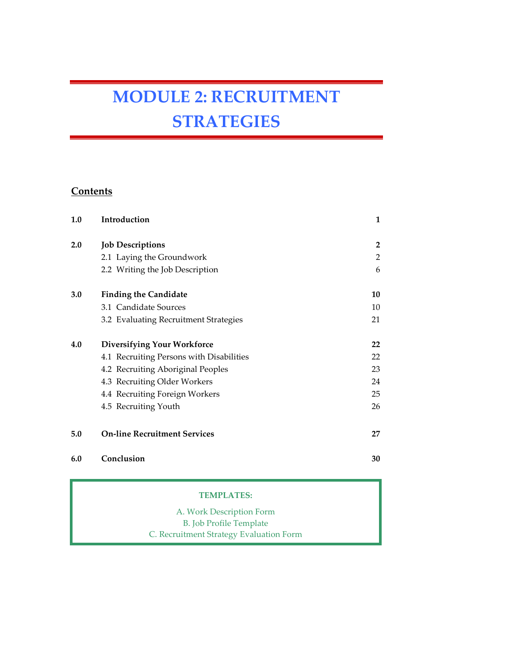# MODULE 2: RECRUITMENT **STRATEGIES**

### **Contents**

| 1.0 | Introduction                             | 1  |
|-----|------------------------------------------|----|
| 2.0 | <b>Job Descriptions</b>                  | 2  |
|     | 2.1 Laying the Groundwork                | 2  |
|     | 2.2 Writing the Job Description          | 6  |
| 3.0 | <b>Finding the Candidate</b>             | 10 |
|     | 3.1 Candidate Sources                    | 10 |
|     | 3.2 Evaluating Recruitment Strategies    | 21 |
| 4.0 | <b>Diversifying Your Workforce</b>       | 22 |
|     | 4.1 Recruiting Persons with Disabilities | 22 |
|     | 4.2 Recruiting Aboriginal Peoples        | 23 |
|     | 4.3 Recruiting Older Workers             | 24 |
|     | 4.4 Recruiting Foreign Workers           | 25 |
|     | 4.5 Recruiting Youth                     | 26 |
| 5.0 | <b>On-line Recruitment Services</b>      | 27 |
| 6.0 | Conclusion                               | 30 |

#### TEMPLATES:

A. Work Description Form B. Job Profile Template C. Recruitment Strategy Evaluation Form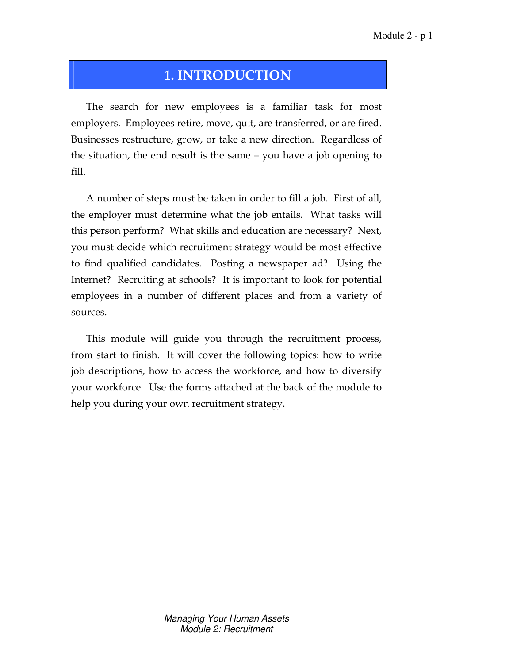# 1. INTRODUCTION

The search for new employees is a familiar task for most employers. Employees retire, move, quit, are transferred, or are fired. Businesses restructure, grow, or take a new direction. Regardless of the situation, the end result is the same – you have a job opening to fill.

A number of steps must be taken in order to fill a job. First of all, the employer must determine what the job entails. What tasks will this person perform? What skills and education are necessary? Next, you must decide which recruitment strategy would be most effective to find qualified candidates. Posting a newspaper ad? Using the Internet? Recruiting at schools? It is important to look for potential employees in a number of different places and from a variety of sources.

This module will guide you through the recruitment process, from start to finish. It will cover the following topics: how to write job descriptions, how to access the workforce, and how to diversify your workforce. Use the forms attached at the back of the module to help you during your own recruitment strategy.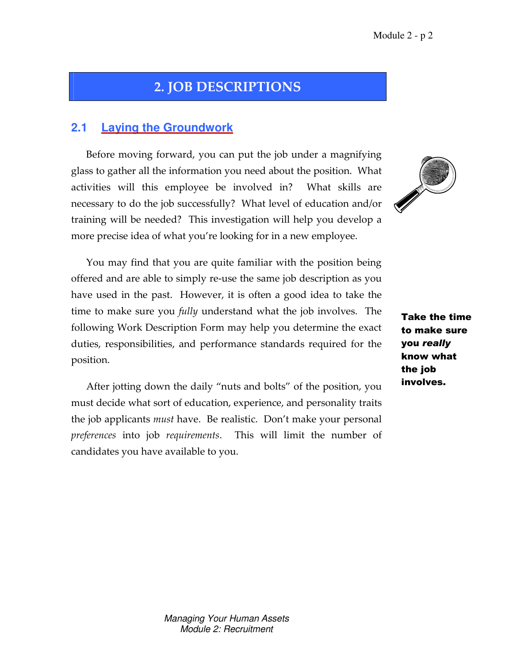# 2. JOB DESCRIPTIONS

### **2.1 Laying the Groundwork**

Before moving forward, you can put the job under a magnifying glass to gather all the information you need about the position. What activities will this employee be involved in? What skills are necessary to do the job successfully? What level of education and/or training will be needed? This investigation will help you develop a more precise idea of what you're looking for in a new employee.



You may find that you are quite familiar with the position being offered and are able to simply re-use the same job description as you have used in the past. However, it is often a good idea to take the time to make sure you fully understand what the job involves. The following Work Description Form may help you determine the exact duties, responsibilities, and performance standards required for the position.

After jotting down the daily "nuts and bolts" of the position, you must decide what sort of education, experience, and personality traits the job applicants must have. Be realistic. Don't make your personal preferences into job requirements. This will limit the number of candidates you have available to you.

Take the time to make sure you really know what the job involves.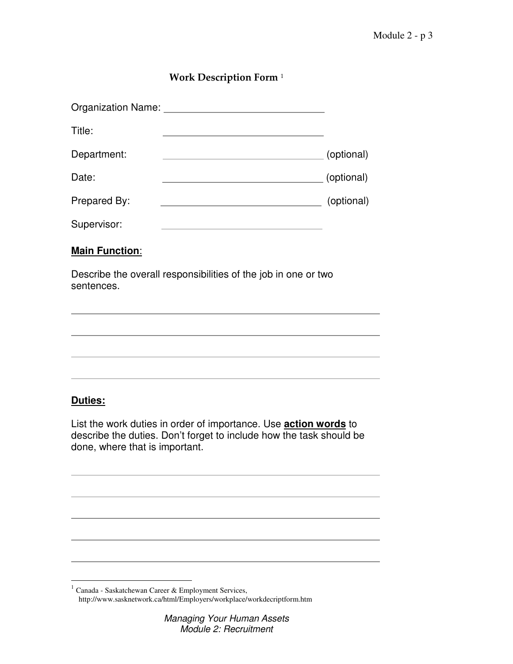### Work Description Form <sup>1</sup>

| Organization Name:    |            |
|-----------------------|------------|
| Title:                |            |
| Department:           | (optional) |
| Date:                 | (optional) |
| Prepared By:          | (optional) |
| Supervisor:           |            |
| <b>Main Function:</b> |            |

Describe the overall responsibilities of the job in one or two sentences.

AAAAAAAAAAAAAAAAAAAAAAAAAAAAAAAAAAAAAAAAAAAAAA

AAAAAAAAAAAAAAAAAAAAAAAAAAAAAAAAAAAAAAAAAAAAAA

AAAAAAAAAAAAAAAAAAAAAAAAAAAAAAAAAAAAAAAAAAAAAA

AAAAAAAAAAAAAAAAAAAAAAAAAAAAAAAAAAAAAAAAAAAAAA

### **Duties:**

List the work duties in order of importance. Use **action words** to describe the duties. Don't forget to include how the task should be done, where that is important.

AAAAAAAAAAAAAAAAAAAAAAAAAAAAAAAAAAAAAAAAAAAAAA

AAAAAAAAAAAAAAAAAAAAAAAAAAAAAAAAAAAAAAAAAAAAAA

AAAAAAAAAAAAAAAAAAAAAAAAAAAAAAAAAAAAAAAAAAAAAA

AAAAAAAAAAAAAAAAAAAAAAAAAAAAAAAAAAAAAAAAAAAAAA

AAAAAAAAAAAAAAAAAAAAAAAAAAAAAAAAAAAAAAAAAAAAAA

 $\overline{a}$ <sup>1</sup> Canada - Saskatchewan Career & Employment Services, http://www.sasknetwork.ca/html/Employers/workplace/workdecriptform.htm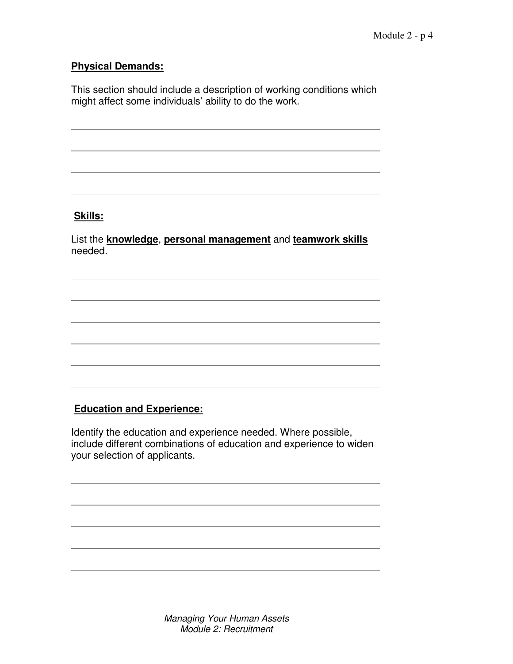### **Physical Demands:**

This section should include a description of working conditions which might affect some individuals' ability to do the work.

AAAAAAAAAAAAAAAAAAAAAAAAAAAAAAAAAAAAAAAAAAAAAA

AAAAAAAAAAAAAAAAAAAAAAAAAAAAAAAAAAAAAAAAAAAAAA

AAAAAAAAAAAAAAAAAAAAAAAAAAAAAAAAAAAAAAAAAAAAAA

AAAAAAAAAAAAAAAAAAAAAAAAAAAAAAAAAAAAAAAAAAAAAA

### **Skills:**

List the **knowledge**, **personal management** and **teamwork skills** needed.

AAAAAAAAAAAAAAAAAAAAAAAAAAAAAAAAAAAAAAAAAAAAAA

AAAAAAAAAAAAAAAAAAAAAAAAAAAAAAAAAAAAAAAAAAAAAA

AAAAAAAAAAAAAAAAAAAAAAAAAAAAAAAAAAAAAAAAAAAAAA

AAAAAAAAAAAAAAAAAAAAAAAAAAAAAAAAAAAAAAAAAAAAAA

AAAAAAAAAAAAAAAAAAAAAAAAAAAAAAAAAAAAAAAAAAAAAA

AAAAAAAAAAAAAAAAAAAAAAAAAAAAAAAAAAAAAAAAAAAAAA

### **Education and Experience:**

Identify the education and experience needed. Where possible, include different combinations of education and experience to widen your selection of applicants.

AAAAAAAAAAAAAAAAAAAAAAAAAAAAAAAAAAAAAAAAAAAAAA

AAAAAAAAAAAAAAAAAAAAAAAAAAAAAAAAAAAAAAAAAAAAAA

AAAAAAAAAAAAAAAAAAAAAAAAAAAAAAAAAAAAAAAAAAAAAA

AAAAAAAAAAAAAAAAAAAAAAAAAAAAAAAAAAAAAAAAAAAAAA

AAAAAAAAAAAAAAAAAAAAAAAAAAAAAAAAAAAAAAAAAAAAAA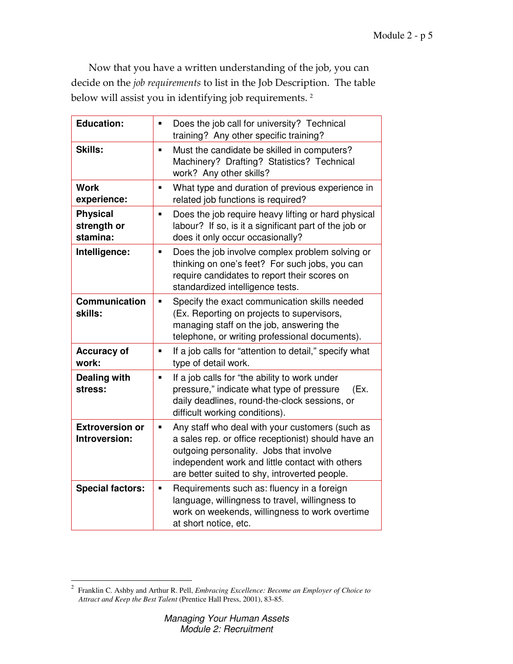Now that you have a written understanding of the job, you can decide on the job requirements to list in the Job Description. The table below will assist you in identifying job requirements. <sup>2</sup>

| <b>Education:</b>                          | Does the job call for university? Technical<br>$\blacksquare$<br>training? Any other specific training?                                                                                                                                                    |
|--------------------------------------------|------------------------------------------------------------------------------------------------------------------------------------------------------------------------------------------------------------------------------------------------------------|
| <b>Skills:</b>                             | Must the candidate be skilled in computers?<br>$\blacksquare$<br>Machinery? Drafting? Statistics? Technical<br>work? Any other skills?                                                                                                                     |
| <b>Work</b><br>experience:                 | What type and duration of previous experience in<br>$\blacksquare$<br>related job functions is required?                                                                                                                                                   |
| <b>Physical</b><br>strength or<br>stamina: | Does the job require heavy lifting or hard physical<br>٠<br>labour? If so, is it a significant part of the job or<br>does it only occur occasionally?                                                                                                      |
| Intelligence:                              | Does the job involve complex problem solving or<br>$\blacksquare$<br>thinking on one's feet? For such jobs, you can<br>require candidates to report their scores on<br>standardized intelligence tests.                                                    |
| <b>Communication</b><br>skills:            | Specify the exact communication skills needed<br>٠<br>(Ex. Reporting on projects to supervisors,<br>managing staff on the job, answering the<br>telephone, or writing professional documents).                                                             |
| <b>Accuracy of</b><br>work:                | If a job calls for "attention to detail," specify what<br>$\blacksquare$<br>type of detail work.                                                                                                                                                           |
| <b>Dealing with</b><br>stress:             | If a job calls for "the ability to work under<br>٠<br>pressure," indicate what type of pressure<br>(Ex.<br>daily deadlines, round-the-clock sessions, or<br>difficult working conditions).                                                                 |
| <b>Extroversion or</b><br>Introversion:    | Any staff who deal with your customers (such as<br>٠<br>a sales rep. or office receptionist) should have an<br>outgoing personality. Jobs that involve<br>independent work and little contact with others<br>are better suited to shy, introverted people. |
| <b>Special factors:</b>                    | Requirements such as: fluency in a foreign<br>Ξ<br>language, willingness to travel, willingness to<br>work on weekends, willingness to work overtime<br>at short notice, etc.                                                                              |

<sup>&</sup>lt;sup>2</sup> Franklin C. Ashby and Arthur R. Pell, *Embracing Excellence: Become an Employer of Choice to Attract and Keep the Best Talent* (Prentice Hall Press, 2001), 83-85.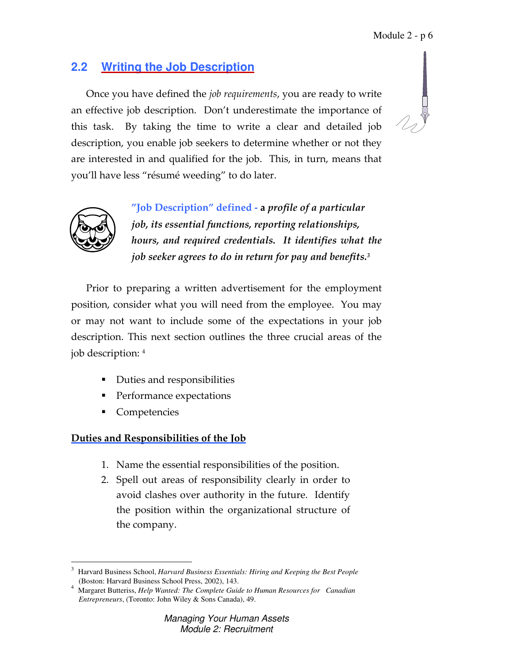# **2.2 Writing the Job Description**

Once you have defined the job requirements, you are ready to write an effective job description. Don't underestimate the importance of this task. By taking the time to write a clear and detailed job description, you enable job seekers to determine whether or not they are interested in and qualified for the job. This, in turn, means that you'll have less "résumé weeding" to do later.



 "Job Description" defined - a profile of a particular job, its essential functions, reporting relationships, hours, and required credentials. It identifies what the job seeker agrees to do in return for pay and benefits. $^3$ 

Prior to preparing a written advertisement for the employment position, consider what you will need from the employee. You may or may not want to include some of the expectations in your job description. This next section outlines the three crucial areas of the job description: <sup>4</sup>

- Duties and responsibilities
- Performance expectations
- Competencies

### Duties and Responsibilities of the Job

- 1. Name the essential responsibilities of the position.
- 2. Spell out areas of responsibility clearly in order to avoid clashes over authority in the future. Identify the position within the organizational structure of the company.

 $\overline{a}$ 3 Harvard Business School, *Harvard Business Essentials: Hiring and Keeping the Best People* (Boston: Harvard Business School Press, 2002), 143.

<sup>4</sup> Margaret Butteriss, *Help Wanted: The Complete Guide to Human Resources for Canadian Entrepreneurs*, (Toronto: John Wiley & Sons Canada), 49.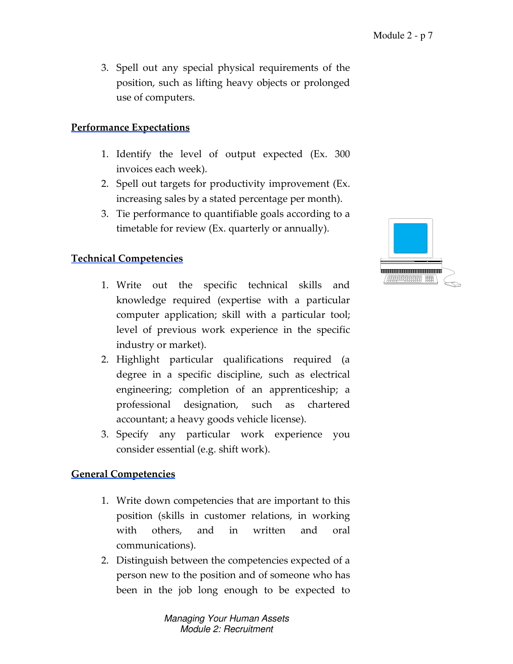3. Spell out any special physical requirements of the position, such as lifting heavy objects or prolonged use of computers.

### Performance Expectations

- 1. Identify the level of output expected (Ex. 300 invoices each week).
- 2. Spell out targets for productivity improvement (Ex. increasing sales by a stated percentage per month).
- 3. Tie performance to quantifiable goals according to a timetable for review (Ex. quarterly or annually).

### Technical Competencies

- 1. Write out the specific technical skills and knowledge required (expertise with a particular computer application; skill with a particular tool; level of previous work experience in the specific industry or market).
- 2. Highlight particular qualifications required (a degree in a specific discipline, such as electrical engineering; completion of an apprenticeship; a professional designation, such as chartered accountant; a heavy goods vehicle license).
- 3. Specify any particular work experience you consider essential (e.g. shift work).

#### General Competencies

- 1. Write down competencies that are important to this position (skills in customer relations, in working with others, and in written and oral communications).
- 2. Distinguish between the competencies expected of a person new to the position and of someone who has been in the job long enough to be expected to

Managing Your Human Assets Module 2: Recruitment

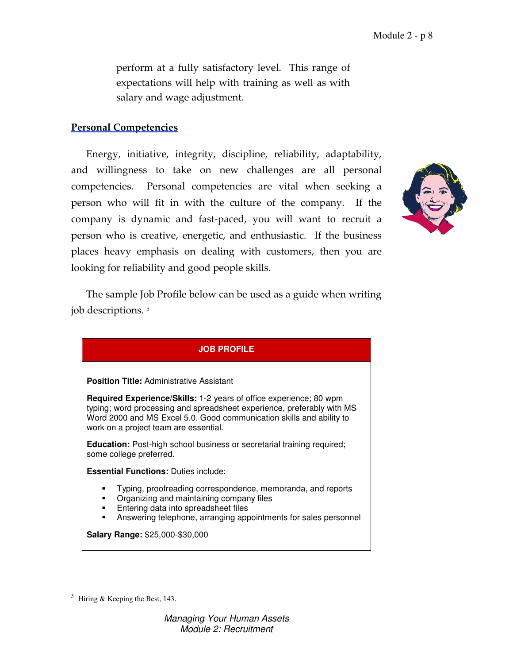perform at a fully satisfactory level. This range of expectations will help with training as well as with salary and wage adjustment.

#### Personal Competencies

Energy, initiative, integrity, discipline, reliability, adaptability, and willingness to take on new challenges are all personal competencies. Personal competencies are vital when seeking a person who will fit in with the culture of the company. If the company is dynamic and fast-paced, you will want to recruit a person who is creative, energetic, and enthusiastic. If the business places heavy emphasis on dealing with customers, then you are looking for reliability and good people skills.



The sample Job Profile below can be used as a guide when writing job descriptions. <sup>5</sup>

#### **JOB PROFILE**

#### **Position Title:** Administrative Assistant

**Required Experience/Skills:** 1-2 years of office experience; 80 wpm typing; word processing and spreadsheet experience, preferably with MS Word 2000 and MS Excel 5.0. Good communication skills and ability to work on a project team are essential.

**Education:** Post-high school business or secretarial training required; some college preferred.

**Essential Functions:** Duties include:

- Typing, proofreading correspondence, memoranda, and reports
- Organizing and maintaining company files
- Entering data into spreadsheet files
- Answering telephone, arranging appointments for sales personnel

**Salary Range:** \$25,000-\$30,000

 $\overline{a}$ 

<sup>5</sup> Hiring & Keeping the Best, 143.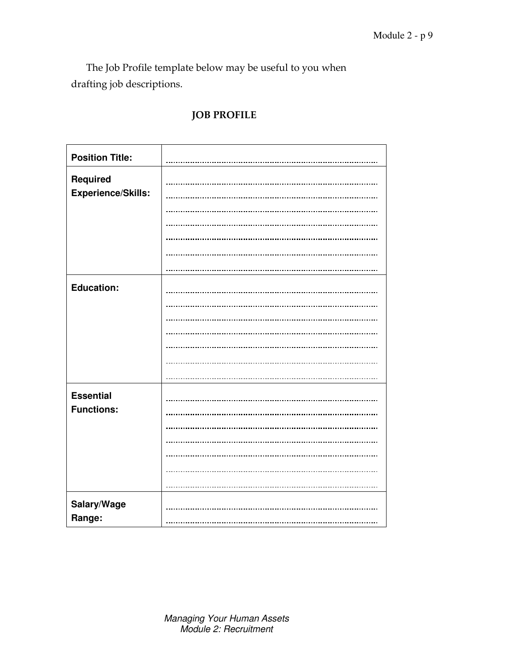The Job Profile template below may be useful to you when drafting job descriptions.

### **Position Title: Required Experience/Skills:**   $\ddot{\phantom{a}}$  $\mathbf{r}$ j. **Education:**   $\ddot{\phantom{a}}$   $\ddotsc$ ä. .<br>. **Essential Functions:**   $\ddot{\phantom{a}}$  $\ddot{\phantom{a}}$  $\cdots$ .<br>. **Salary/Wage Range:**

### JOB PROFILE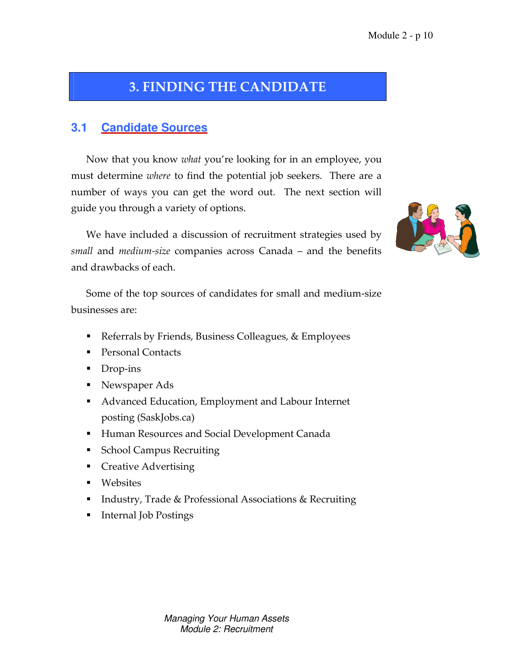# 3. FINDING THE CANDIDATE

# **3.1 Candidate Sources**

Now that you know what you're looking for in an employee, you must determine where to find the potential job seekers. There are a number of ways you can get the word out. The next section will guide you through a variety of options.

We have included a discussion of recruitment strategies used by small and medium-size companies across Canada – and the benefits and drawbacks of each.

Some of the top sources of candidates for small and medium-size businesses are:

- Referrals by Friends, Business Colleagues, & Employees
- Personal Contacts
- Drop-ins
- Newspaper Ads
- Advanced Education, Employment and Labour Internet posting (SaskJobs.ca)
- **Human Resources and Social Development Canada**
- **School Campus Recruiting**
- **Creative Advertising**
- **Websites**
- Industry, Trade & Professional Associations & Recruiting
- Internal Job Postings

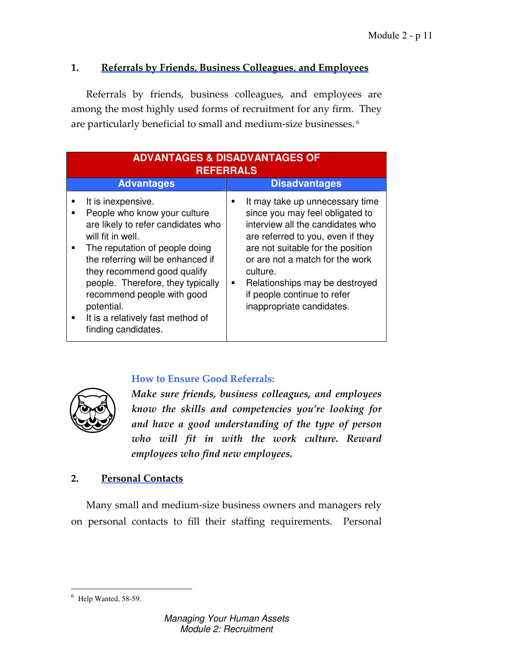### 1. Referrals by Friends, Business Colleagues, and Employees

Referrals by friends, business colleagues, and employees are among the most highly used forms of recruitment for any firm. They are particularly beneficial to small and medium-size businesses.<sup>6</sup>

|                          | <b>ADVANTAGES &amp; DISADVANTAGES OF</b><br><b>REFERRALS</b>                                                                                                                                                                                                                                                                                                     |        |                                                                                                                                                                                                                                                                                                                               |  |
|--------------------------|------------------------------------------------------------------------------------------------------------------------------------------------------------------------------------------------------------------------------------------------------------------------------------------------------------------------------------------------------------------|--------|-------------------------------------------------------------------------------------------------------------------------------------------------------------------------------------------------------------------------------------------------------------------------------------------------------------------------------|--|
|                          | <b>Advantages</b>                                                                                                                                                                                                                                                                                                                                                |        | <b>Disadvantages</b>                                                                                                                                                                                                                                                                                                          |  |
| П<br>■<br>$\blacksquare$ | It is inexpensive.<br>People who know your culture<br>are likely to refer candidates who<br>will fit in well.<br>The reputation of people doing<br>the referring will be enhanced if<br>they recommend good qualify<br>people. Therefore, they typically<br>recommend people with good<br>potential.<br>It is a relatively fast method of<br>finding candidates. | ■<br>٠ | It may take up unnecessary time<br>since you may feel obligated to<br>interview all the candidates who<br>are referred to you, even if they<br>are not suitable for the position<br>or are not a match for the work<br>culture.<br>Relationships may be destroyed<br>if people continue to refer<br>inappropriate candidates. |  |

### How to Ensure Good Referrals:



Make sure friends, business colleagues, and employees know the skills and competencies you're looking for and have a good understanding of the type of person who will fit in with the work culture. Reward employees who find new employees.

#### 2. Personal Contacts

Many small and medium-size business owners and managers rely on personal contacts to fill their staffing requirements. Personal

 $\overline{a}$ 

<sup>6</sup> Help Wanted, 58-59.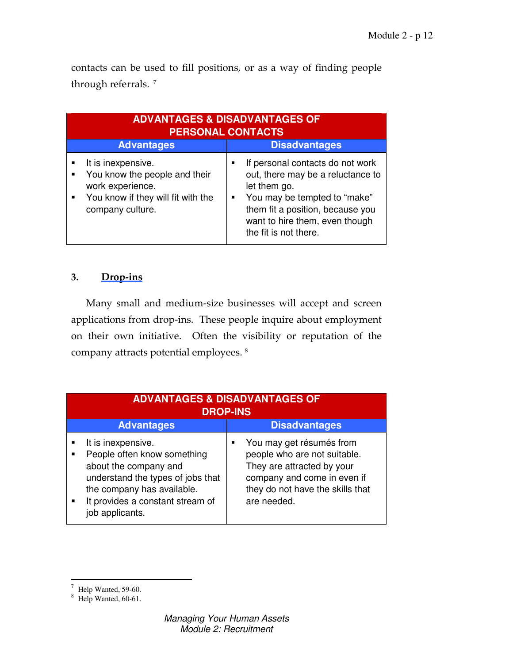contacts can be used to fill positions, or as a way of finding people through referrals.<sup>7</sup>

|        | <b>ADVANTAGES &amp; DISADVANTAGES OF</b><br><b>PERSONAL CONTACTS</b>                                                              |  |                                                                                                                                                                                                                      |  |
|--------|-----------------------------------------------------------------------------------------------------------------------------------|--|----------------------------------------------------------------------------------------------------------------------------------------------------------------------------------------------------------------------|--|
|        | <b>Advantages</b>                                                                                                                 |  | <b>Disadvantages</b>                                                                                                                                                                                                 |  |
| п<br>٠ | It is inexpensive.<br>You know the people and their<br>work experience.<br>You know if they will fit with the<br>company culture. |  | If personal contacts do not work<br>out, there may be a reluctance to<br>let them go.<br>You may be tempted to "make"<br>them fit a position, because you<br>want to hire them, even though<br>the fit is not there. |  |

### 3. Drop-ins

Many small and medium-size businesses will accept and screen applications from drop-ins. These people inquire about employment on their own initiative. Often the visibility or reputation of the company attracts potential employees. <sup>8</sup>

|                | <b>ADVANTAGES &amp; DISADVANTAGES OF</b><br><b>DROP-INS</b>                                                                                                                                          |                                                                                                                                                                               |  |
|----------------|------------------------------------------------------------------------------------------------------------------------------------------------------------------------------------------------------|-------------------------------------------------------------------------------------------------------------------------------------------------------------------------------|--|
|                | <b>Advantages</b>                                                                                                                                                                                    | <b>Disadvantages</b>                                                                                                                                                          |  |
| $\blacksquare$ | It is inexpensive.<br>People often know something<br>about the company and<br>understand the types of jobs that<br>the company has available.<br>It provides a constant stream of<br>job applicants. | You may get résumés from<br>■<br>people who are not suitable.<br>They are attracted by your<br>company and come in even if<br>they do not have the skills that<br>are needed. |  |

 $\frac{1}{7}$  Help Wanted, 59-60.

<sup>8</sup> Help Wanted, 60-61.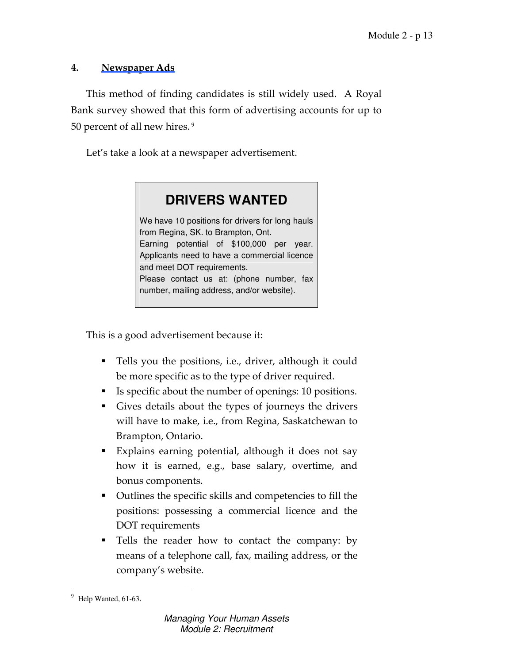### 4. Newspaper Ads

This method of finding candidates is still widely used. A Royal Bank survey showed that this form of advertising accounts for up to 50 percent of all new hires.<sup>9</sup>

Let's take a look at a newspaper advertisement.



This is a good advertisement because it:

- Tells you the positions, i.e., driver, although it could be more specific as to the type of driver required.
- Is specific about the number of openings: 10 positions.
- Gives details about the types of journeys the drivers will have to make, i.e., from Regina, Saskatchewan to Brampton, Ontario.
- Explains earning potential, although it does not say how it is earned, e.g., base salary, overtime, and bonus components.
- Outlines the specific skills and competencies to fill the positions: possessing a commercial licence and the DOT requirements
- Tells the reader how to contact the company: by means of a telephone call, fax, mailing address, or the company's website.

 $\overline{a}$ 9 Help Wanted, 61-63.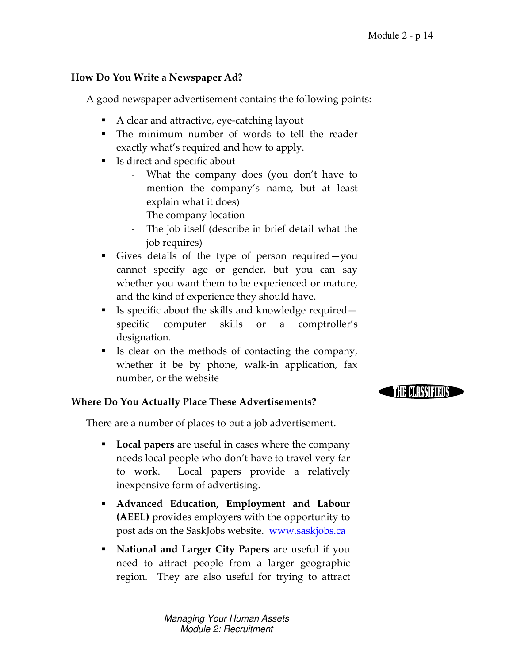**THE DIRESTERES** 

### How Do You Write a Newspaper Ad?

A good newspaper advertisement contains the following points:

- A clear and attractive, eye-catching layout
- The minimum number of words to tell the reader exactly what's required and how to apply.
- Is direct and specific about
	- What the company does (you don't have to mention the company's name, but at least explain what it does)
	- The company location
	- The job itself (describe in brief detail what the job requires)
- Gives details of the type of person required—you cannot specify age or gender, but you can say whether you want them to be experienced or mature, and the kind of experience they should have.
- Is specific about the skills and knowledge required specific computer skills or a comptroller's designation.
- Is clear on the methods of contacting the company, whether it be by phone, walk-in application, fax number, or the website

#### Where Do You Actually Place These Advertisements?

There are a number of places to put a job advertisement.

- **Local papers** are useful in cases where the company needs local people who don't have to travel very far to work. Local papers provide a relatively inexpensive form of advertising.
- Advanced Education, Employment and Labour (AEEL) provides employers with the opportunity to post ads on the SaskJobs website. www.saskjobs.ca
- **National and Larger City Papers** are useful if you need to attract people from a larger geographic region. They are also useful for trying to attract

Managing Your Human Assets Module 2: Recruitment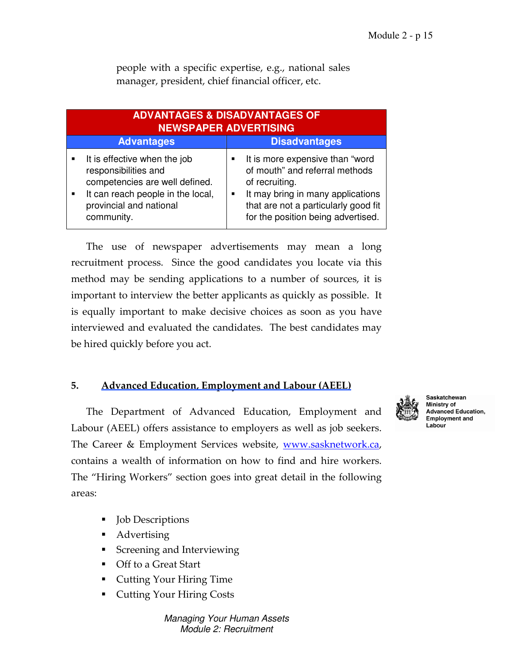| <b>ADVANTAGES &amp; DISADVANTAGES OF</b><br><b>NEWSPAPER ADVERTISING</b>                                                                                                                                 |                                                                                                                                                                                                                          |  |
|----------------------------------------------------------------------------------------------------------------------------------------------------------------------------------------------------------|--------------------------------------------------------------------------------------------------------------------------------------------------------------------------------------------------------------------------|--|
| <b>Advantages</b><br><b>Disadvantages</b>                                                                                                                                                                |                                                                                                                                                                                                                          |  |
| It is effective when the job<br>$\blacksquare$<br>responsibilities and<br>competencies are well defined.<br>It can reach people in the local,<br>$\blacksquare$<br>provincial and national<br>community. | It is more expensive than "word<br>of mouth" and referral methods<br>of recruiting.<br>It may bring in many applications<br>$\blacksquare$<br>that are not a particularly good fit<br>for the position being advertised. |  |

people with a specific expertise, e.g., national sales manager, president, chief financial officer, etc.

The use of newspaper advertisements may mean a long recruitment process. Since the good candidates you locate via this method may be sending applications to a number of sources, it is important to interview the better applicants as quickly as possible. It is equally important to make decisive choices as soon as you have interviewed and evaluated the candidates. The best candidates may be hired quickly before you act.

### 5. Advanced Education, Employment and Labour (AEEL)

The Department of Advanced Education, Employment and Labour (AEEL) offers assistance to employers as well as job seekers. The Career & Employment Services website, www.sasknetwork.ca, contains a wealth of information on how to find and hire workers. The "Hiring Workers" section goes into great detail in the following areas:

- Job Descriptions
- **Advertising**
- **Screening and Interviewing**
- Off to a Great Start
- Cutting Your Hiring Time
- Cutting Your Hiring Costs

Managing Your Human Assets Module 2: Recruitment



Saskatchewan Ministry of **Advanced Education, Employment and** Labour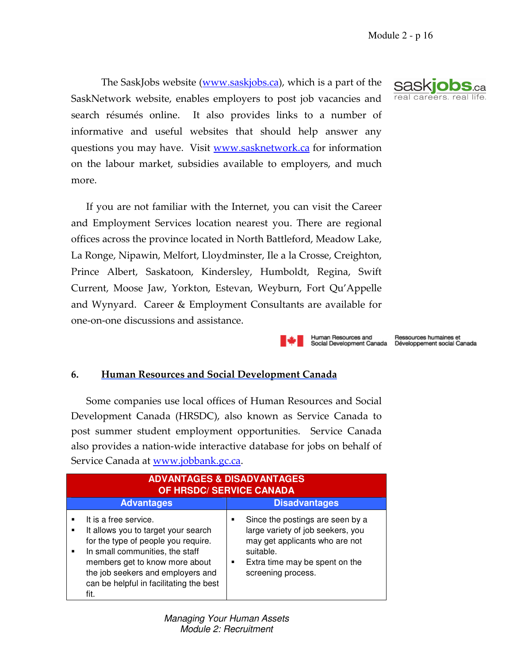The SaskJobs website (www.saskjobs.ca), which is a part of the SaskNetwork website, enables employers to post job vacancies and search résumés online. It also provides links to a number of informative and useful websites that should help answer any questions you may have. Visit www.sasknetwork.ca for information on the labour market, subsidies available to employers, and much more.

If you are not familiar with the Internet, you can visit the Career and Employment Services location nearest you. There are regional offices across the province located in North Battleford, Meadow Lake, La Ronge, Nipawin, Melfort, Lloydminster, Ile a la Crosse, Creighton, Prince Albert, Saskatoon, Kindersley, Humboldt, Regina, Swift Current, Moose Jaw, Yorkton, Estevan, Weyburn, Fort Qu'Appelle and Wynyard. Career & Employment Consultants are available for one-on-one discussions and assistance.

#### Human Resources and Social Development Canada

#### 6. Human Resources and Social Development Canada

Some companies use local offices of Human Resources and Social Development Canada (HRSDC), also known as Service Canada to post summer student employment opportunities. Service Canada also provides a nation-wide interactive database for jobs on behalf of Service Canada at www.jobbank.gc.ca.

| <b>ADVANTAGES &amp; DISADVANTAGES</b><br><b>OF HRSDC/ SERVICE CANADA</b>                                                                                                                                                                                         |                                                                                                                                                                                   |  |
|------------------------------------------------------------------------------------------------------------------------------------------------------------------------------------------------------------------------------------------------------------------|-----------------------------------------------------------------------------------------------------------------------------------------------------------------------------------|--|
| <b>Advantages</b>                                                                                                                                                                                                                                                | <b>Disadvantages</b>                                                                                                                                                              |  |
| It is a free service.<br>It allows you to target your search<br>for the type of people you require.<br>In small communities, the staff<br>members get to know more about<br>the job seekers and employers and<br>can be helpful in facilitating the best<br>fit. | Since the postings are seen by a<br>large variety of job seekers, you<br>may get applicants who are not<br>suitable.<br>Extra time may be spent on the<br>٠<br>screening process. |  |



Ressources humaines et<br>Développement social Canada

Managing Your Human Assets Module 2: Recruitment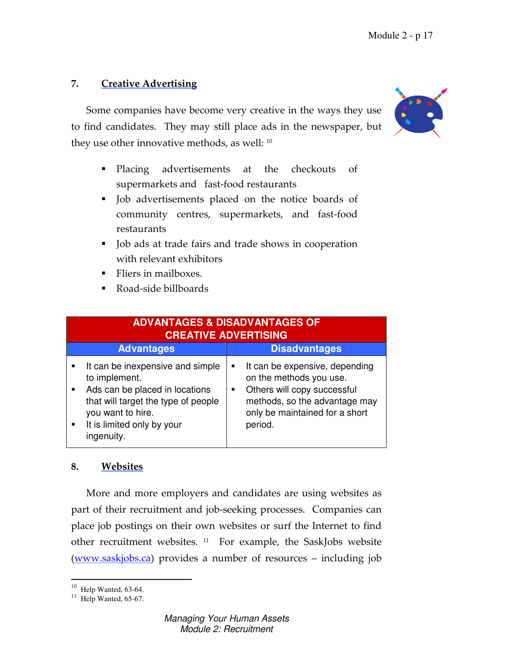### 7. Creative Advertising

Some companies have become very creative in the ways they use to find candidates. They may still place ads in the newspaper, but they use other innovative methods, as well: <sup>10</sup>

- Placing advertisements at the checkouts of supermarkets and fast-food restaurants
- Job advertisements placed on the notice boards of community centres, supermarkets, and fast-food restaurants
- Job ads at trade fairs and trade shows in cooperation with relevant exhibitors
- Fliers in mailboxes.
- Road-side billboards

|                                  | <b>ADVANTAGES &amp; DISADVANTAGES OF</b><br><b>CREATIVE ADVERTISING</b>                                                                                                                     |                                                                                                                                                                                  |  |  |
|----------------------------------|---------------------------------------------------------------------------------------------------------------------------------------------------------------------------------------------|----------------------------------------------------------------------------------------------------------------------------------------------------------------------------------|--|--|
|                                  | <b>Advantages</b>                                                                                                                                                                           | <b>Disadvantages</b>                                                                                                                                                             |  |  |
| $\blacksquare$<br>$\blacksquare$ | It can be inexpensive and simple<br>to implement.<br>Ads can be placed in locations<br>that will target the type of people<br>you want to hire.<br>It is limited only by your<br>ingenuity. | It can be expensive, depending<br>п<br>on the methods you use.<br>Others will copy successful<br>٠<br>methods, so the advantage may<br>only be maintained for a short<br>period. |  |  |

#### 8. Websites

More and more employers and candidates are using websites as part of their recruitment and job-seeking processes. Companies can place job postings on their own websites or surf the Internet to find other recruitment websites. 11 For example, the SaskJobs website (www.saskjobs.ca) provides a number of resources – including job



 $10$  Help Wanted, 63-64.

 $11$  Help Wanted, 65-67.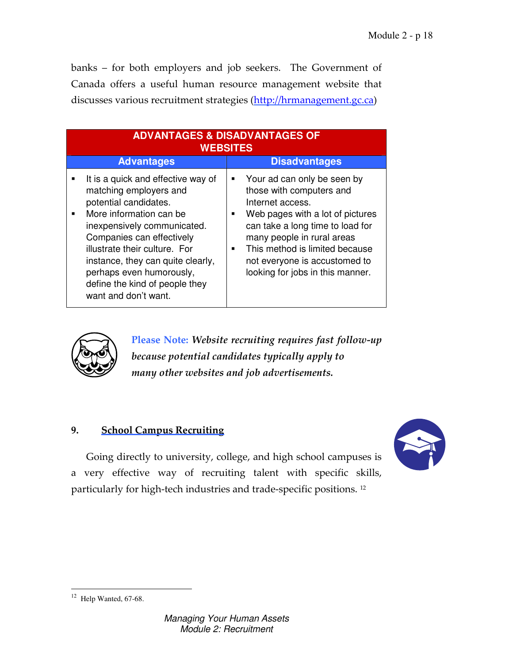banks – for both employers and job seekers. The Government of Canada offers a useful human resource management website that discusses various recruitment strategies (http://hrmanagement.gc.ca)

| <b>ADVANTAGES &amp; DISADVANTAGES OF</b><br><b>WEBSITES</b> |                                                                                                                                                                                                                                                                                                                                          |                                       |                                                                                                                                                                                                                                                                                          |
|-------------------------------------------------------------|------------------------------------------------------------------------------------------------------------------------------------------------------------------------------------------------------------------------------------------------------------------------------------------------------------------------------------------|---------------------------------------|------------------------------------------------------------------------------------------------------------------------------------------------------------------------------------------------------------------------------------------------------------------------------------------|
|                                                             | <b>Advantages</b>                                                                                                                                                                                                                                                                                                                        |                                       | <b>Disadvantages</b>                                                                                                                                                                                                                                                                     |
| $\blacksquare$                                              | It is a quick and effective way of<br>matching employers and<br>potential candidates.<br>More information can be<br>inexpensively communicated.<br>Companies can effectively<br>illustrate their culture. For<br>instance, they can quite clearly,<br>perhaps even humorously,<br>define the kind of people they<br>want and don't want. | ٠<br>$\blacksquare$<br>$\blacksquare$ | Your ad can only be seen by<br>those with computers and<br>Internet access.<br>Web pages with a lot of pictures<br>can take a long time to load for<br>many people in rural areas<br>This method is limited because<br>not everyone is accustomed to<br>looking for jobs in this manner. |



 Please Note: Website recruiting requires fast follow-up because potential candidates typically apply to many other websites and job advertisements.

### 9. School Campus Recruiting



Going directly to university, college, and high school campuses is a very effective way of recruiting talent with specific skills, particularly for high-tech industries and trade-specific positions. <sup>12</sup>

 $12$  Help Wanted, 67-68.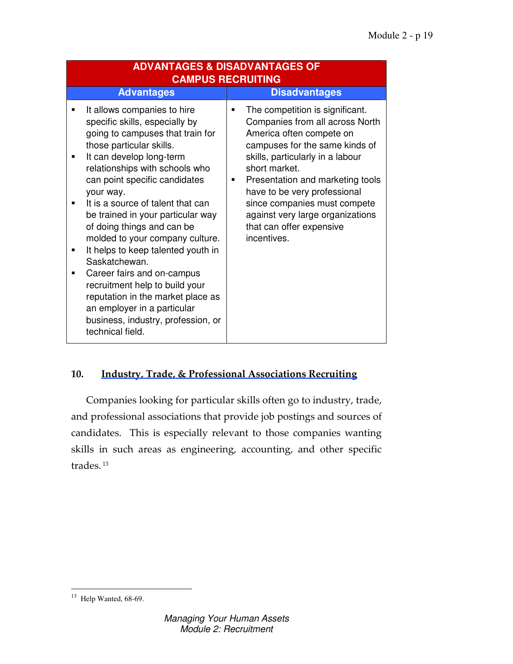| <b>ADVANTAGES &amp; DISADVANTAGES OF</b><br><b>CAMPUS RECRUITING</b>                                                                                                                                                                                                                                                                                                                                                                                                                                                                                                                                                                                             |                                                                                                                                                                                                                                                                                                                                                                                                 |  |
|------------------------------------------------------------------------------------------------------------------------------------------------------------------------------------------------------------------------------------------------------------------------------------------------------------------------------------------------------------------------------------------------------------------------------------------------------------------------------------------------------------------------------------------------------------------------------------------------------------------------------------------------------------------|-------------------------------------------------------------------------------------------------------------------------------------------------------------------------------------------------------------------------------------------------------------------------------------------------------------------------------------------------------------------------------------------------|--|
| <b>Advantages</b>                                                                                                                                                                                                                                                                                                                                                                                                                                                                                                                                                                                                                                                | <b>Disadvantages</b>                                                                                                                                                                                                                                                                                                                                                                            |  |
| It allows companies to hire<br>specific skills, especially by<br>going to campuses that train for<br>those particular skills.<br>It can develop long-term<br>$\blacksquare$<br>relationships with schools who<br>can point specific candidates<br>your way.<br>It is a source of talent that can<br>be trained in your particular way<br>of doing things and can be<br>molded to your company culture.<br>It helps to keep talented youth in<br>Saskatchewan.<br>Career fairs and on-campus<br>п<br>recruitment help to build your<br>reputation in the market place as<br>an employer in a particular<br>business, industry, profession, or<br>technical field. | The competition is significant.<br>٠<br>Companies from all across North<br>America often compete on<br>campuses for the same kinds of<br>skills, particularly in a labour<br>short market.<br>Presentation and marketing tools<br>$\blacksquare$<br>have to be very professional<br>since companies must compete<br>against very large organizations<br>that can offer expensive<br>incentives. |  |

### 10. Industry, Trade, & Professional Associations Recruiting

Companies looking for particular skills often go to industry, trade, and professional associations that provide job postings and sources of candidates. This is especially relevant to those companies wanting skills in such areas as engineering, accounting, and other specific trades.<sup>13</sup>

 $13$  Help Wanted, 68-69.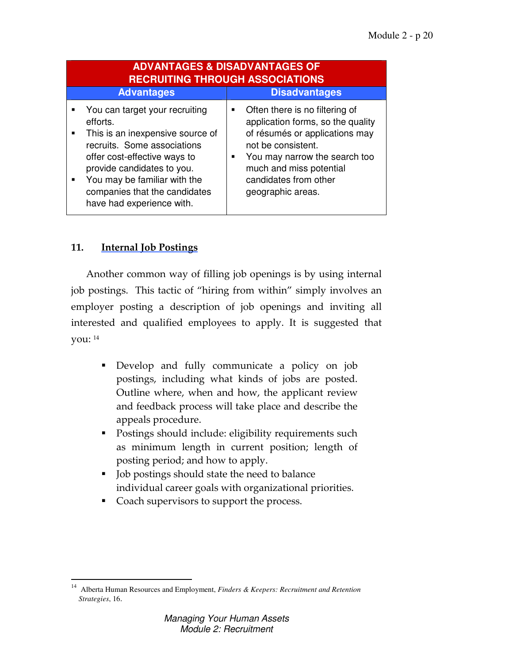| <b>ADVANTAGES &amp; DISADVANTAGES OF</b><br><b>RECRUITING THROUGH ASSOCIATIONS</b>                                                                                                                                                                                             |                                                                                                                                                                                                                                                         |  |
|--------------------------------------------------------------------------------------------------------------------------------------------------------------------------------------------------------------------------------------------------------------------------------|---------------------------------------------------------------------------------------------------------------------------------------------------------------------------------------------------------------------------------------------------------|--|
| <b>Advantages</b>                                                                                                                                                                                                                                                              | <b>Disadvantages</b>                                                                                                                                                                                                                                    |  |
| You can target your recruiting<br>efforts.<br>This is an inexpensive source of<br>٠<br>recruits. Some associations<br>offer cost-effective ways to<br>provide candidates to you.<br>You may be familiar with the<br>companies that the candidates<br>have had experience with. | Often there is no filtering of<br>$\blacksquare$<br>application forms, so the quality<br>of résumés or applications may<br>not be consistent.<br>You may narrow the search too<br>much and miss potential<br>candidates from other<br>geographic areas. |  |

### 11. Internal Job Postings

Another common way of filling job openings is by using internal job postings. This tactic of "hiring from within" simply involves an employer posting a description of job openings and inviting all interested and qualified employees to apply. It is suggested that you: <sup>14</sup>

- Develop and fully communicate a policy on job postings, including what kinds of jobs are posted. Outline where, when and how, the applicant review and feedback process will take place and describe the appeals procedure.
- Postings should include: eligibility requirements such as minimum length in current position; length of posting period; and how to apply.
- **Job postings should state the need to balance** individual career goals with organizational priorities.
- Coach supervisors to support the process.

<sup>&</sup>lt;sup>14</sup> Alberta Human Resources and Employment, *Finders & Keepers: Recruitment and Retention Strategies*, 16.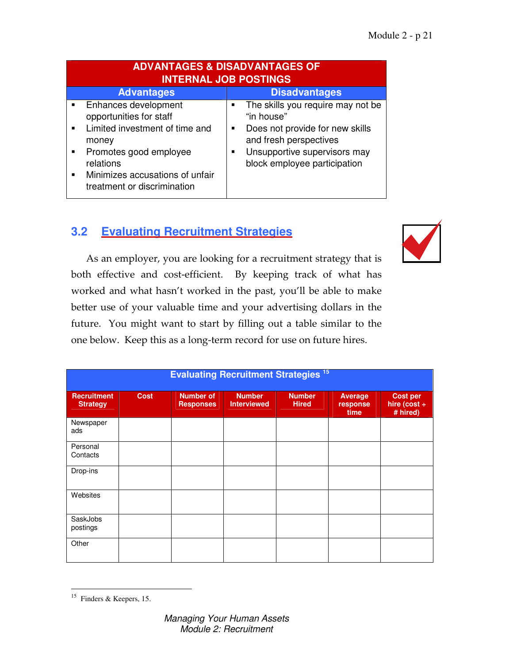| <b>ADVANTAGES &amp; DISADVANTAGES OF</b><br><b>INTERNAL JOB POSTINGS</b>                                                                                                                                                                     |                                                                                                                                                                                        |  |  |  |
|----------------------------------------------------------------------------------------------------------------------------------------------------------------------------------------------------------------------------------------------|----------------------------------------------------------------------------------------------------------------------------------------------------------------------------------------|--|--|--|
| <b>Advantages</b>                                                                                                                                                                                                                            | <b>Disadvantages</b>                                                                                                                                                                   |  |  |  |
| Enhances development<br>opportunities for staff<br>Limited investment of time and<br>$\blacksquare$<br>money<br>Promotes good employee<br>٠<br>relations<br>Minimizes accusations of unfair<br>$\blacksquare$<br>treatment or discrimination | The skills you require may not be<br>"in house"<br>Does not provide for new skills<br>٠<br>and fresh perspectives<br>Unsupportive supervisors may<br>٠<br>block employee participation |  |  |  |

# **3.2 Evaluating Recruitment Strategies**



As an employer, you are looking for a recruitment strategy that is both effective and cost-efficient. By keeping track of what has worked and what hasn't worked in the past, you'll be able to make better use of your valuable time and your advertising dollars in the future. You might want to start by filling out a table similar to the one below. Keep this as a long-term record for use on future hires.

| <b>Evaluating Recruitment Strategies 15</b> |             |                                      |                                     |                               |                                    |                                                  |
|---------------------------------------------|-------------|--------------------------------------|-------------------------------------|-------------------------------|------------------------------------|--------------------------------------------------|
| <b>Recruitment</b><br><b>Strategy</b>       | <b>Cost</b> | <b>Number of</b><br><b>Responses</b> | <b>Number</b><br><b>Interviewed</b> | <b>Number</b><br><b>Hired</b> | <b>Average</b><br>response<br>time | <b>Cost per</b><br>hire (cost $\div$<br># hired) |
| Newspaper<br>ads                            |             |                                      |                                     |                               |                                    |                                                  |
| Personal<br>Contacts                        |             |                                      |                                     |                               |                                    |                                                  |
| Drop-ins                                    |             |                                      |                                     |                               |                                    |                                                  |
| Websites                                    |             |                                      |                                     |                               |                                    |                                                  |
| SaskJobs<br>postings                        |             |                                      |                                     |                               |                                    |                                                  |
| Other                                       |             |                                      |                                     |                               |                                    |                                                  |

 15 Finders & Keepers, 15.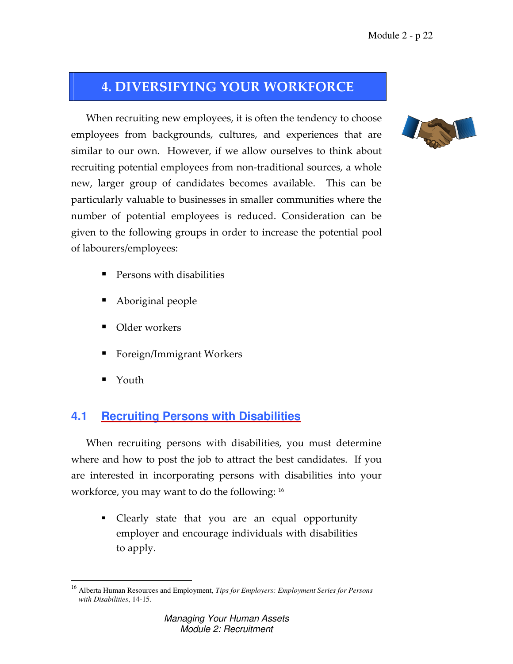# 4. DIVERSIFYING YOUR WORKFORCE

When recruiting new employees, it is often the tendency to choose employees from backgrounds, cultures, and experiences that are similar to our own. However, if we allow ourselves to think about recruiting potential employees from non-traditional sources, a whole new, larger group of candidates becomes available. This can be particularly valuable to businesses in smaller communities where the number of potential employees is reduced. Consideration can be given to the following groups in order to increase the potential pool of labourers/employees:

- Persons with disabilities
- Aboriginal people
- Older workers
- Foreign/Immigrant Workers
- Youth

# **4.1 Recruiting Persons with Disabilities**

When recruiting persons with disabilities, you must determine where and how to post the job to attract the best candidates. If you are interested in incorporating persons with disabilities into your workforce, you may want to do the following: <sup>16</sup>

 Clearly state that you are an equal opportunity employer and encourage individuals with disabilities to apply.



 $\overline{a}$ <sup>16</sup> Alberta Human Resources and Employment, *Tips for Employers: Employment Series for Persons with Disabilities*, 14-15.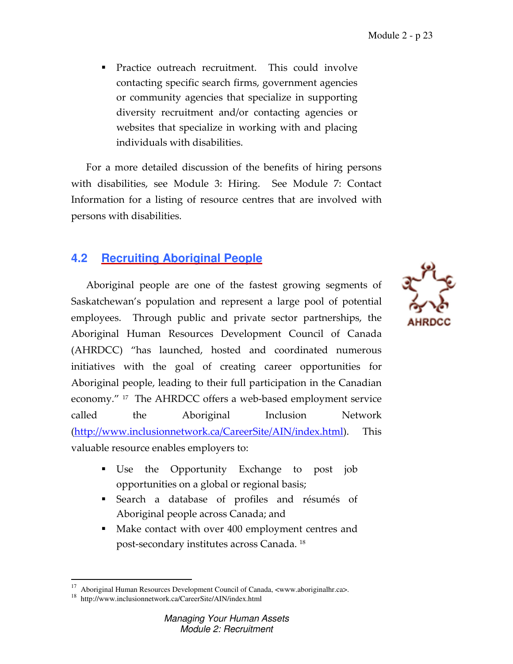**Practice outreach recruitment.** This could involve contacting specific search firms, government agencies or community agencies that specialize in supporting diversity recruitment and/or contacting agencies or websites that specialize in working with and placing individuals with disabilities.

For a more detailed discussion of the benefits of hiring persons with disabilities, see Module 3: Hiring. See Module 7: Contact Information for a listing of resource centres that are involved with persons with disabilities.

# **4.2 Recruiting Aboriginal People**

Aboriginal people are one of the fastest growing segments of Saskatchewan's population and represent a large pool of potential employees. Through public and private sector partnerships, the Aboriginal Human Resources Development Council of Canada (AHRDCC) "has launched, hosted and coordinated numerous initiatives with the goal of creating career opportunities for Aboriginal people, leading to their full participation in the Canadian economy." 17 The AHRDCC offers a web-based employment service called the Aboriginal Inclusion Network (http://www.inclusionnetwork.ca/CareerSite/AIN/index.html). This valuable resource enables employers to:

- Use the Opportunity Exchange to post job opportunities on a global or regional basis;
- Search a database of profiles and résumés of Aboriginal people across Canada; and
- Make contact with over 400 employment centres and post-secondary institutes across Canada. <sup>18</sup>

 $\overline{a}$ 





<sup>&</sup>lt;sup>17</sup> Aboriginal Human Resources Development Council of Canada, <www.aboriginalhr.ca>.

<sup>18</sup> http://www.inclusionnetwork.ca/CareerSite/AIN/index.html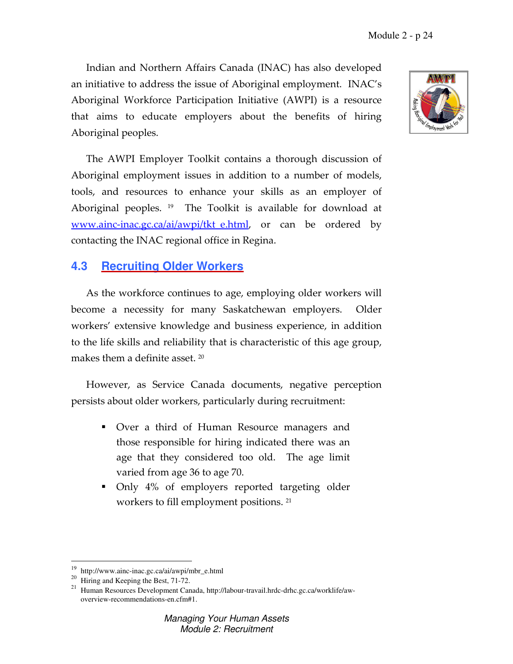Indian and Northern Affairs Canada (INAC) has also developed an initiative to address the issue of Aboriginal employment. INAC's Aboriginal Workforce Participation Initiative (AWPI) is a resource that aims to educate employers about the benefits of hiring Aboriginal peoples.

The AWPI Employer Toolkit contains a thorough discussion of Aboriginal employment issues in addition to a number of models, tools, and resources to enhance your skills as an employer of Aboriginal peoples. 19 The Toolkit is available for download at www.ainc-inac.gc.ca/ai/awpi/tkt e.html, or can be ordered by contacting the INAC regional office in Regina.

### **4.3 Recruiting Older Workers**

As the workforce continues to age, employing older workers will become a necessity for many Saskatchewan employers. Older workers' extensive knowledge and business experience, in addition to the life skills and reliability that is characteristic of this age group, makes them a definite asset.  $^{20}$ 

However, as Service Canada documents, negative perception persists about older workers, particularly during recruitment:

- Over a third of Human Resource managers and those responsible for hiring indicated there was an age that they considered too old. The age limit varied from age 36 to age 70.
- Only 4% of employers reported targeting older workers to fill employment positions. <sup>21</sup>

 $\overline{a}$ 



<sup>&</sup>lt;sup>19</sup> http://www.ainc-inac.gc.ca/ai/awpi/mbr\_e.html

 $20$  Hiring and Keeping the Best, 71-72.

<sup>&</sup>lt;sup>21</sup> Human Resources Development Canada, http://labour-travail.hrdc-drhc.gc.ca/worklife/awoverview-recommendations-en.cfm#1.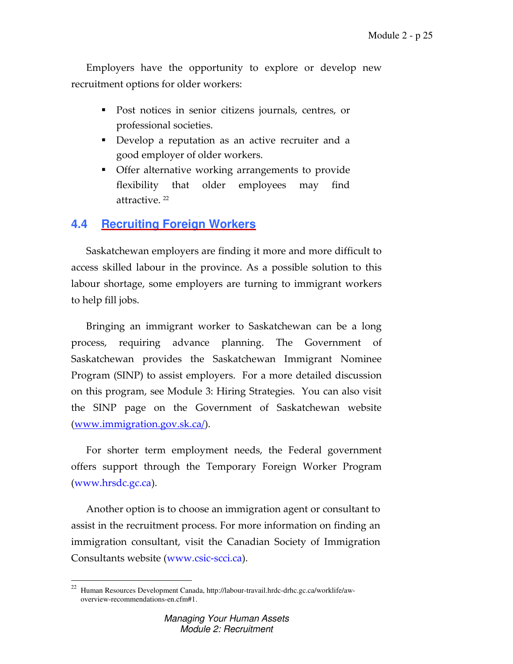Employers have the opportunity to explore or develop new recruitment options for older workers:

- Post notices in senior citizens journals, centres, or professional societies.
- Develop a reputation as an active recruiter and a good employer of older workers.
- Offer alternative working arrangements to provide flexibility that older employees may find attractive. <sup>22</sup>

### **4.4 Recruiting Foreign Workers**

Saskatchewan employers are finding it more and more difficult to access skilled labour in the province. As a possible solution to this labour shortage, some employers are turning to immigrant workers to help fill jobs.

Bringing an immigrant worker to Saskatchewan can be a long process, requiring advance planning. The Government of Saskatchewan provides the Saskatchewan Immigrant Nominee Program (SINP) to assist employers. For a more detailed discussion on this program, see Module 3: Hiring Strategies. You can also visit the SINP page on the Government of Saskatchewan website (www.immigration.gov.sk.ca/).

For shorter term employment needs, the Federal government offers support through the Temporary Foreign Worker Program (www.hrsdc.gc.ca).

Another option is to choose an immigration agent or consultant to assist in the recruitment process. For more information on finding an immigration consultant, visit the Canadian Society of Immigration Consultants website (www.csic-scci.ca).

 22 Human Resources Development Canada, http://labour-travail.hrdc-drhc.gc.ca/worklife/aw overview-recommendations-en.cfm#1.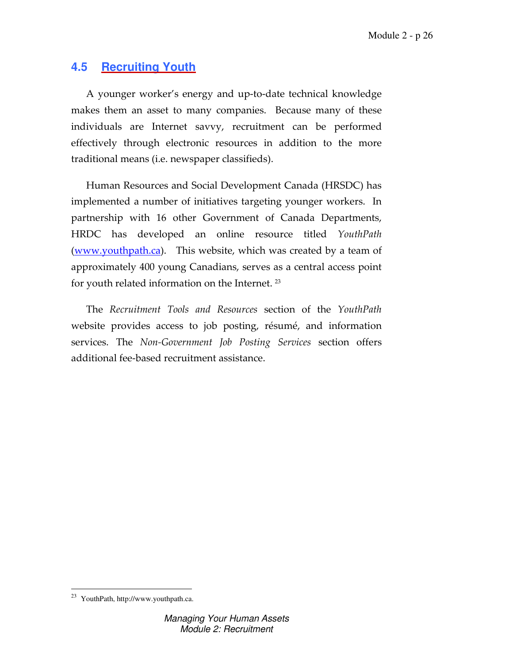# **4.5 Recruiting Youth**

A younger worker's energy and up-to-date technical knowledge makes them an asset to many companies. Because many of these individuals are Internet savvy, recruitment can be performed effectively through electronic resources in addition to the more traditional means (i.e. newspaper classifieds).

Human Resources and Social Development Canada (HRSDC) has implemented a number of initiatives targeting younger workers. In partnership with 16 other Government of Canada Departments, HRDC has developed an online resource titled YouthPath (www.youthpath.ca). This website, which was created by a team of approximately 400 young Canadians, serves as a central access point for youth related information on the Internet.  $23$ 

The Recruitment Tools and Resources section of the YouthPath website provides access to job posting, résumé, and information services. The Non-Government Job Posting Services section offers additional fee-based recruitment assistance.

 $\overline{a}$ 

<sup>&</sup>lt;sup>23</sup> YouthPath, http://www.youthpath.ca.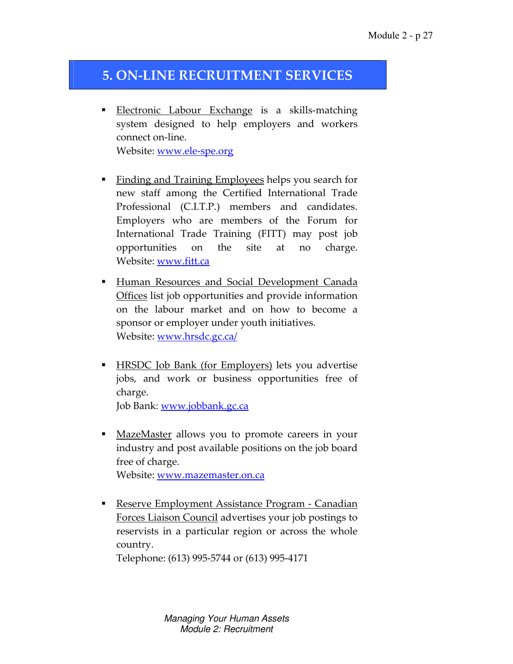# 5. ON-LINE RECRUITMENT SERVICES

- Electronic Labour Exchange is a skills-matching system designed to help employers and workers connect on-line. Website: www.ele-spe.org
- Finding and Training Employees helps you search for new staff among the Certified International Trade Professional (C.I.T.P.) members and candidates. Employers who are members of the Forum for International Trade Training (FITT) may post job opportunities on the site at no charge. Website: www.fitt.ca
- **Human Resources and Social Development Canada** Offices list job opportunities and provide information on the labour market and on how to become a sponsor or employer under youth initiatives. Website: www.hrsdc.gc.ca/
- **HRSDC** Job Bank (for Employers) lets you advertise jobs, and work or business opportunities free of charge. Job Bank: www.jobbank.gc.ca
- **MazeMaster allows you to promote careers in your** industry and post available positions on the job board free of charge. Website: www.mazemaster.on.ca
- **Reserve Employment Assistance Program Canadian** Forces Liaison Council advertises your job postings to reservists in a particular region or across the whole country.

Telephone: (613) 995-5744 or (613) 995-4171

Managing Your Human Assets Module 2: Recruitment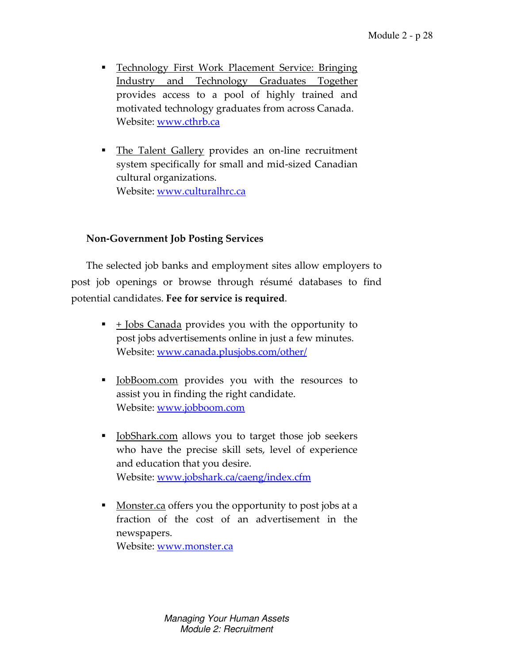- Technology First Work Placement Service: Bringing Industry and Technology Graduates Together provides access to a pool of highly trained and motivated technology graduates from across Canada. Website: www.cthrb.ca
- The Talent Gallery provides an on-line recruitment system specifically for small and mid-sized Canadian cultural organizations. Website: www.culturalhrc.ca

### Non-Government Job Posting Services

The selected job banks and employment sites allow employers to post job openings or browse through résumé databases to find potential candidates. Fee for service is required.

- $\blacksquare$   $\pm$  <u>Jobs Canada</u> provides you with the opportunity to post jobs advertisements online in just a few minutes. Website: www.canada.plusjobs.com/other/
- **Dian-** JobBoom.com provides you with the resources to assist you in finding the right candidate. Website: www.jobboom.com
- DobShark.com allows you to target those job seekers who have the precise skill sets, level of experience and education that you desire. Website: www.jobshark.ca/caeng/index.cfm
- **Monster.ca offers you the opportunity to post jobs at a** fraction of the cost of an advertisement in the newspapers. Website: www.monster.ca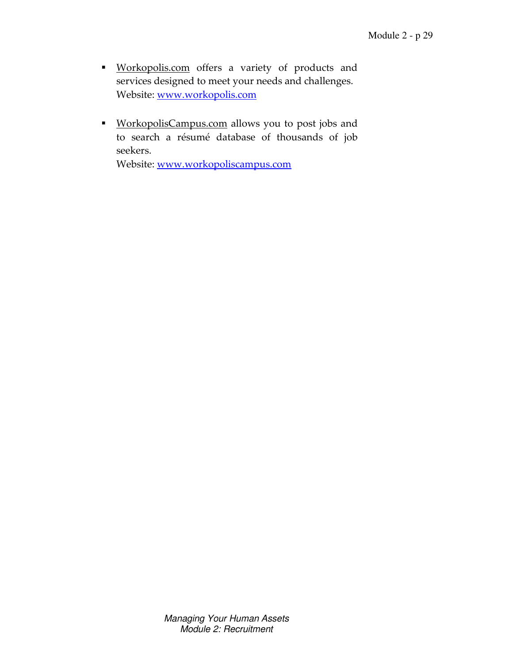- **Workopolis.com** offers a variety of products and services designed to meet your needs and challenges. Website: www.workopolis.com
- **WorkopolisCampus.com** allows you to post jobs and to search a résumé database of thousands of job seekers.

Website: www.workopoliscampus.com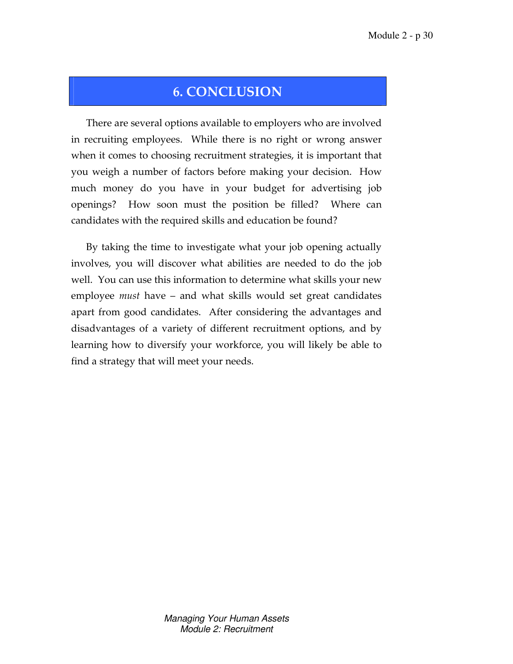# 6. CONCLUSION

There are several options available to employers who are involved in recruiting employees. While there is no right or wrong answer when it comes to choosing recruitment strategies, it is important that you weigh a number of factors before making your decision. How much money do you have in your budget for advertising job openings? How soon must the position be filled? Where can candidates with the required skills and education be found?

By taking the time to investigate what your job opening actually involves, you will discover what abilities are needed to do the job well. You can use this information to determine what skills your new employee must have – and what skills would set great candidates apart from good candidates. After considering the advantages and disadvantages of a variety of different recruitment options, and by learning how to diversify your workforce, you will likely be able to find a strategy that will meet your needs.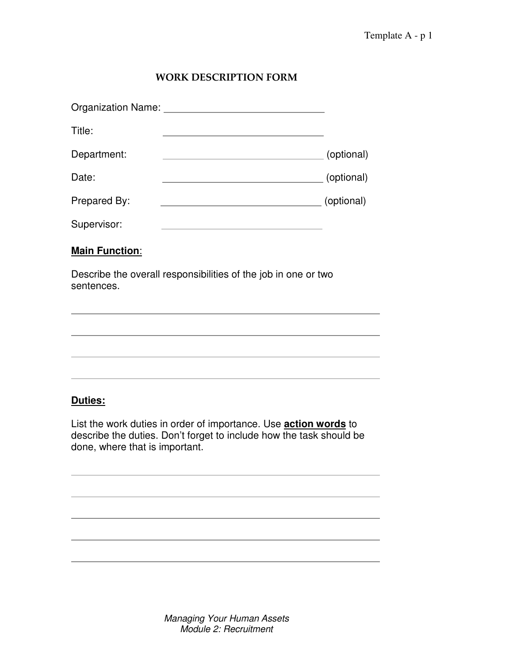### WORK DESCRIPTION FORM

| Title:                | the control of the control of the control of the control of the control of                |  |
|-----------------------|-------------------------------------------------------------------------------------------|--|
| Department:           |                                                                                           |  |
| Date:                 |                                                                                           |  |
| Prepared By:          | (optional) (optional)                                                                     |  |
| Supervisor:           | the control of the control of the control of the control of the control of the control of |  |
| <b>Main Function:</b> |                                                                                           |  |
| sentences.            | Describe the overall responsibilities of the job in one or two                            |  |
|                       |                                                                                           |  |
|                       |                                                                                           |  |
|                       |                                                                                           |  |
|                       |                                                                                           |  |

### **Duties:**

List the work duties in order of importance. Use **action words** to describe the duties. Don't forget to include how the task should be done, where that is important.

AAAAAAAAAAAAAAAAAAAAAAAAAAAAAAAAAAAAAAAAAAAAAA

AAAAAAAAAAAAAAAAAAAAAAAAAAAAAAAAAAAAAAAAAAAAAA

AAAAAAAAAAAAAAAAAAAAAAAAAAAAAAAAAAAAAAAAAAAAAA

AAAAAAAAAAAAAAAAAAAAAAAAAAAAAAAAAAAAAAAAAAAAAA

AAAAAAAAAAAAAAAAAAAAAAAAAAAAAAAAAAAAAAAAAAAAAA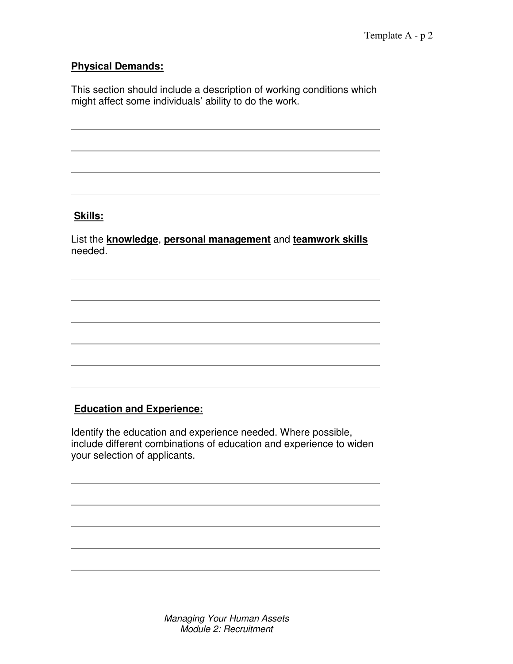### **Physical Demands:**

This section should include a description of working conditions which might affect some individuals' ability to do the work.

AAAAAAAAAAAAAAAAAAAAAAAAAAAAAAAAAAAAAAAAAAAAAA

AAAAAAAAAAAAAAAAAAAAAAAAAAAAAAAAAAAAAAAAAAAAAA

AAAAAAAAAAAAAAAAAAAAAAAAAAAAAAAAAAAAAAAAAAAAAA

AAAAAAAAAAAAAAAAAAAAAAAAAAAAAAAAAAAAAAAAAAAAAA

### **Skills:**

List the **knowledge**, **personal management** and **teamwork skills** needed.

AAAAAAAAAAAAAAAAAAAAAAAAAAAAAAAAAAAAAAAAAAAAAA

AAAAAAAAAAAAAAAAAAAAAAAAAAAAAAAAAAAAAAAAAAAAAA

AAAAAAAAAAAAAAAAAAAAAAAAAAAAAAAAAAAAAAAAAAAAAA

AAAAAAAAAAAAAAAAAAAAAAAAAAAAAAAAAAAAAAAAAAAAAA

AAAAAAAAAAAAAAAAAAAAAAAAAAAAAAAAAAAAAAAAAAAAAA

AAAAAAAAAAAAAAAAAAAAAAAAAAAAAAAAAAAAAAAAAAAAAA

### **Education and Experience:**

Identify the education and experience needed. Where possible, include different combinations of education and experience to widen your selection of applicants.

AAAAAAAAAAAAAAAAAAAAAAAAAAAAAAAAAAAAAAAAAAAAAA

AAAAAAAAAAAAAAAAAAAAAAAAAAAAAAAAAAAAAAAAAAAAAA

AAAAAAAAAAAAAAAAAAAAAAAAAAAAAAAAAAAAAAAAAAAAAA

AAAAAAAAAAAAAAAAAAAAAAAAAAAAAAAAAAAAAAAAAAAAAA

AAAAAAAAAAAAAAAAAAAAAAAAAAAAAAAAAAAAAAAAAAAAAA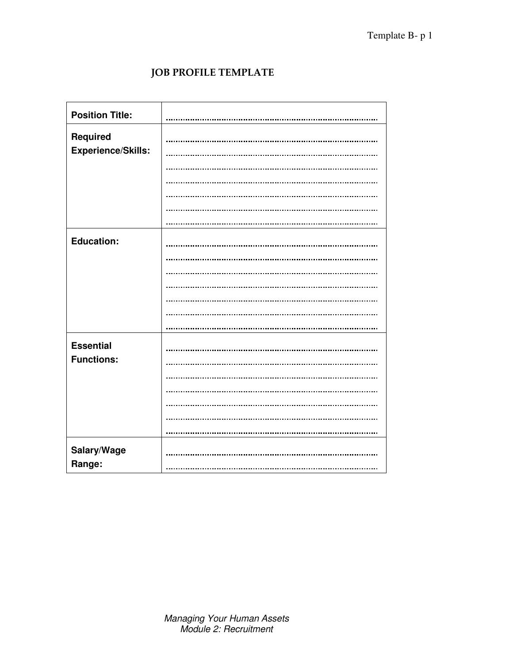## JOB PROFILE TEMPLATE

| <b>Position Title:</b>    |  |
|---------------------------|--|
| Required                  |  |
| <b>Experience/Skills:</b> |  |
|                           |  |
|                           |  |
|                           |  |
|                           |  |
|                           |  |
| <b>Education:</b>         |  |
|                           |  |
|                           |  |
|                           |  |
|                           |  |
|                           |  |
|                           |  |
| <b>Essential</b>          |  |
| <b>Functions:</b>         |  |
|                           |  |
|                           |  |
|                           |  |
|                           |  |
|                           |  |
| Salary/Wage<br>Range:     |  |
|                           |  |